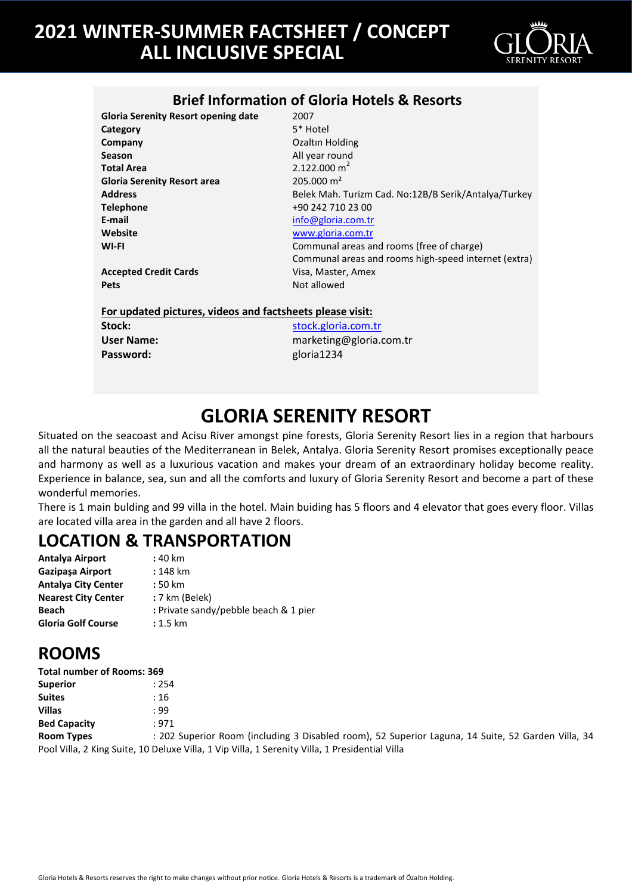

### **Brief Information of Gloria Hotels & Resorts**

**Gloria Serenity Resort opening date** 2007<br>**Category** 5\* Hotel **Category Company Company Company Company Company Company Company Company Company Company Company Company Company Company Company Company Company Company Company Company Company Company C Season** All year round **Gloria Serenity Resort area** 205.000 m² **Telephone** +90 242 710 23 00 **E-mail** [info@gloria.com.tr](mailto:info@gloria.com.tr) **Website** [www.gloria.com.tr](http://www.gloria.com.tr/)

**Total Area** 2.122.000 m<sup>2</sup> **Address** Belek Mah. Turizm Cad. No:12B/B Serik/Antalya/Turkey Communal areas and rooms (free of charge) Communal areas and rooms high-speed internet (extra)

**Accepted Credit Cards Visa, Master, Amex Pets** Not allowed

**For updated pictures, videos and factsheets please visit:**

Password: **Password: gloria1234** 

**Stock:** stock: [stock.gloria.com.tr](http://stock.gloria.com.tr/) **User Name:** marketing@gloria.com.tr

## **GLORIA SERENITY RESORT**

Situated on the seacoast and Acisu River amongst pine forests, Gloria Serenity Resort lies in a region that harbours all the natural beauties of the Mediterranean in Belek, Antalya. Gloria Serenity Resort promises exceptionally peace and harmony as well as a luxurious vacation and makes your dream of an extraordinary holiday become reality. Experience in balance, sea, sun and all the comforts and luxury of Gloria Serenity Resort and become a part of these wonderful memories.

There is 1 main bulding and 99 villa in the hotel. Main buiding has 5 floors and 4 elevator that goes every floor. Villas are located villa area in the garden and all have 2 floors.

### **LOCATION & TRANSPORTATION**

| Antalya Airport            | : 40 km                               |
|----------------------------|---------------------------------------|
| Gazipasa Airport           | $: 148$ km                            |
| <b>Antalya City Center</b> | : 50 km                               |
| <b>Nearest City Center</b> | : 7 km (Belek)                        |
| Beach                      | : Private sandy/pebble beach & 1 pier |
| <b>Gloria Golf Course</b>  | $: 1.5$ km                            |

### **ROOMS**

| <b>Total number of Rooms: 369</b> |                                                                                                    |
|-----------------------------------|----------------------------------------------------------------------------------------------------|
| <b>Superior</b>                   | : 254                                                                                              |
| <b>Suites</b>                     | : 16                                                                                               |
| <b>Villas</b>                     | : 99                                                                                               |
| <b>Bed Capacity</b>               | : 971                                                                                              |
| <b>Room Types</b>                 | : 202 Superior Room (including 3 Disabled room), 52 Superior Laguna, 14 Suite, 52 Garden Villa, 34 |
|                                   | Pool Villa, 2 King Suite, 10 Deluxe Villa, 1 Vip Villa, 1 Serenity Villa, 1 Presidential Villa     |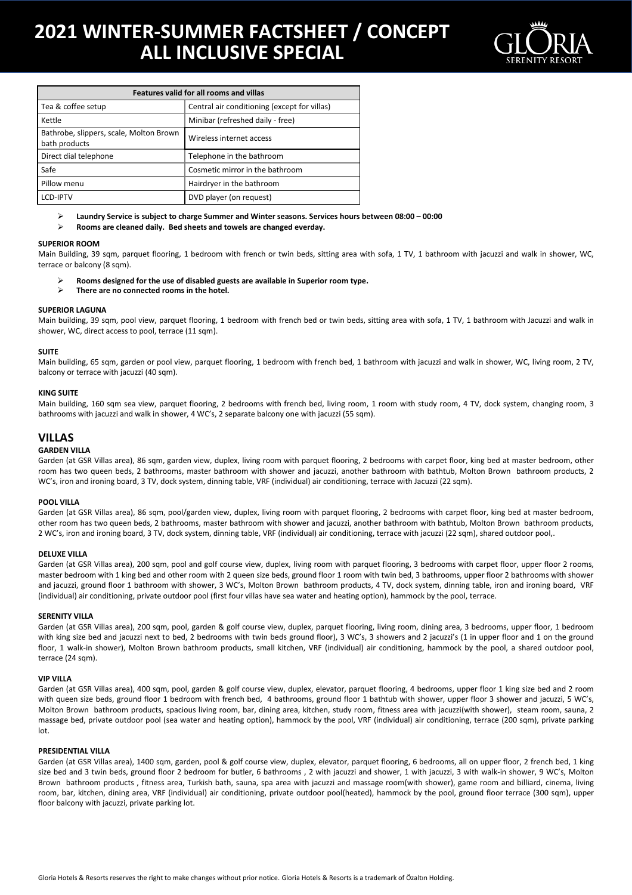

| <b>Features valid for all rooms and villas</b>           |                                              |  |  |
|----------------------------------------------------------|----------------------------------------------|--|--|
| Tea & coffee setup                                       | Central air conditioning (except for villas) |  |  |
| Kettle                                                   | Minibar (refreshed daily - free)             |  |  |
| Bathrobe, slippers, scale, Molton Brown<br>bath products | Wireless internet access                     |  |  |
| Direct dial telephone                                    | Telephone in the bathroom                    |  |  |
| Safe                                                     | Cosmetic mirror in the bathroom              |  |  |
| Pillow menu                                              | Hairdryer in the bathroom                    |  |  |
| <b>I CD-IPTV</b>                                         | DVD player (on request)                      |  |  |

**Laundry Service is subject to charge Summer and Winter seasons. Services hours between 08:00 – 00:00**

**Rooms are cleaned daily. Bed sheets and towels are changed everday.** 

#### **SUPERIOR ROOM**

Main Building, 39 sqm, parquet flooring, 1 bedroom with french or twin beds, sitting area with sofa, 1 TV, 1 bathroom with jacuzzi and walk in shower, WC, terrace or balcony (8 sqm).

- **Rooms designed for the use of disabled guests are available in Superior room type.**<br> **Rooms are no connected rooms in the botel**
- **There are no connected rooms in the hotel.**

#### **SUPERIOR LAGUNA**

Main building, 39 sqm, pool view, parquet flooring, 1 bedroom with french bed or twin beds, sitting area with sofa, 1 TV, 1 bathroom with Jacuzzi and walk in shower, WC, direct access to pool, terrace (11 sqm).

#### **SUITE**

Main building, 65 sqm, garden or pool view, parquet flooring, 1 bedroom with french bed, 1 bathroom with jacuzzi and walk in shower, WC, living room, 2 TV, balcony or terrace with jacuzzi (40 sqm).

#### **KING SUITE**

Main building, 160 sqm sea view, parquet flooring, 2 bedrooms with french bed, living room, 1 room with study room, 4 TV, dock system, changing room, 3 bathrooms with jacuzzi and walk in shower, 4 WC's, 2 separate balcony one with jacuzzi (55 sqm).

### **VILLAS**

#### **GARDEN VILLA**

Garden (at GSR Villas area), 86 sqm, garden view, duplex, living room with parquet flooring, 2 bedrooms with carpet floor, king bed at master bedroom, other room has two queen beds, 2 bathrooms, master bathroom with shower and jacuzzi, another bathroom with bathtub, Molton Brown bathroom products, 2 WC's, iron and ironing board, 3 TV, dock system, dinning table, VRF (individual) air conditioning, terrace with Jacuzzi (22 sqm).

#### **POOL VILLA**

Garden (at GSR Villas area), 86 sqm, pool/garden view, duplex, living room with parquet flooring, 2 bedrooms with carpet floor, king bed at master bedroom, other room has two queen beds, 2 bathrooms, master bathroom with shower and jacuzzi, another bathroom with bathtub, Molton Brown bathroom products, 2 WC's, iron and ironing board, 3 TV, dock system, dinning table, VRF (individual) air conditioning, terrace with jacuzzi (22 sqm), shared outdoor pool,.

#### **DELUXE VILLA**

Garden (at GSR Villas area), 200 sqm, pool and golf course view, duplex, living room with parquet flooring, 3 bedrooms with carpet floor, upper floor 2 rooms, master bedroom with 1 king bed and other room with 2 queen size beds, ground floor 1 room with twin bed, 3 bathrooms, upper floor 2 bathrooms with shower and jacuzzi, ground floor 1 bathroom with shower, 3 WC's, Molton Brown bathroom products, 4 TV, dock system, dinning table, iron and ironing board, VRF (individual) air conditioning, private outdoor pool (first four villas have sea water and heating option), hammock by the pool, terrace.

#### **SERENITY VILLA**

Garden (at GSR Villas area), 200 sqm, pool, garden & golf course view, duplex, parquet flooring, living room, dining area, 3 bedrooms, upper floor, 1 bedroom with king size bed and jacuzzi next to bed, 2 bedrooms with twin beds ground floor), 3 WC's, 3 showers and 2 jacuzzi's (1 in upper floor and 1 on the ground floor, 1 walk-in shower), Molton Brown bathroom products, small kitchen, VRF (individual) air conditioning, hammock by the pool, a shared outdoor pool, terrace (24 sqm).

#### **VIP VILLA**

Garden (at GSR Villas area), 400 sqm, pool, garden & golf course view, duplex, elevator, parquet flooring, 4 bedrooms, upper floor 1 king size bed and 2 room with queen size beds, ground floor 1 bedroom with french bed, 4 bathrooms, ground floor 1 bathtub with shower, upper floor 3 shower and jacuzzi, 5 WC's, Molton Brown bathroom products, spacious living room, bar, dining area, kitchen, study room, fitness area with jacuzzi(with shower), steam room, sauna, 2 massage bed, private outdoor pool (sea water and heating option), hammock by the pool, VRF (individual) air conditioning, terrace (200 sqm), private parking lot.

#### **PRESIDENTIAL VILLA**

Garden (at GSR Villas area), 1400 sqm, garden, pool & golf course view, duplex, elevator, parquet flooring, 6 bedrooms, all on upper floor, 2 french bed, 1 king size bed and 3 twin beds, ground floor 2 bedroom for butler, 6 bathrooms , 2 with jacuzzi and shower, 1 with jacuzzi, 3 with walk-in shower, 9 WC's, Molton Brown bathroom products , fitness area, Turkish bath, sauna, spa area with jacuzzi and massage room(with shower), game room and billiard, cinema, living room, bar, kitchen, dining area, VRF (individual) air conditioning, private outdoor pool(heated), hammock by the pool, ground floor terrace (300 sqm), upper floor balcony with jacuzzi, private parking lot.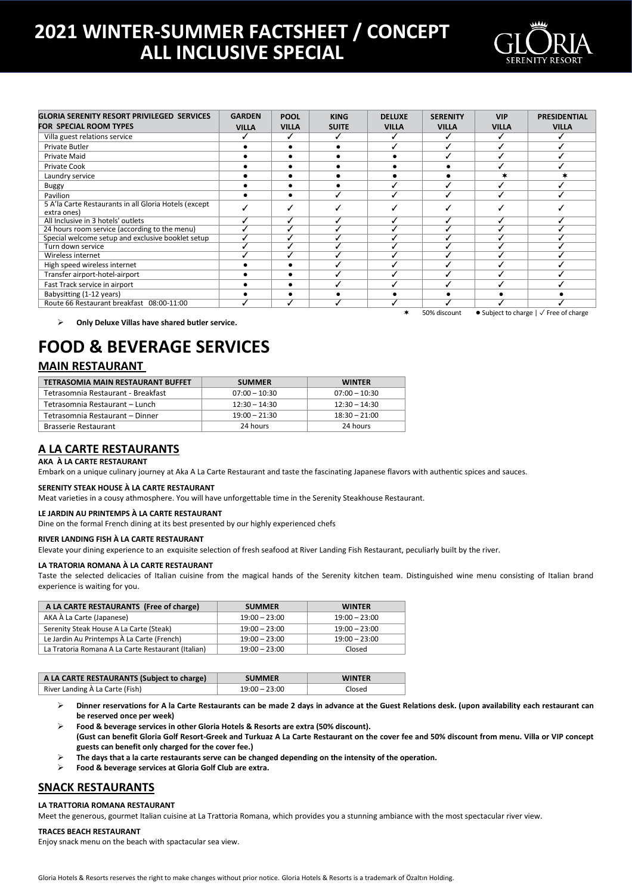

| <b>GLORIA SERENITY RESORT PRIVILEGED SERVICES</b><br><b>FOR SPECIAL ROOM TYPES</b> | <b>GARDEN</b><br><b>VILLA</b> | <b>POOL</b><br><b>VILLA</b> | <b>KING</b><br><b>SUITE</b> | <b>DELUXE</b><br><b>VILLA</b> | <b>SERENITY</b><br><b>VILLA</b> | <b>VIP</b><br><b>VILLA</b> | <b>PRESIDENTIAL</b><br><b>VILLA</b>                             |
|------------------------------------------------------------------------------------|-------------------------------|-----------------------------|-----------------------------|-------------------------------|---------------------------------|----------------------------|-----------------------------------------------------------------|
| Villa guest relations service                                                      |                               |                             |                             |                               |                                 |                            |                                                                 |
|                                                                                    |                               |                             |                             |                               |                                 |                            |                                                                 |
| Private Butler                                                                     |                               |                             |                             |                               |                                 |                            |                                                                 |
| Private Maid                                                                       |                               |                             |                             |                               |                                 |                            |                                                                 |
| <b>Private Cook</b>                                                                |                               |                             |                             |                               |                                 |                            |                                                                 |
| Laundry service                                                                    |                               |                             |                             |                               |                                 |                            |                                                                 |
| Buggy                                                                              |                               |                             |                             |                               |                                 |                            |                                                                 |
| Pavilion                                                                           |                               |                             |                             |                               |                                 |                            |                                                                 |
| 5 A'la Carte Restaurants in all Gloria Hotels (except<br>extra ones)               |                               |                             |                             |                               |                                 |                            |                                                                 |
| All Inclusive in 3 hotels' outlets                                                 |                               |                             |                             |                               |                                 |                            |                                                                 |
| 24 hours room service (according to the menu)                                      |                               |                             |                             |                               |                                 |                            |                                                                 |
| Special welcome setup and exclusive booklet setup                                  |                               |                             |                             |                               |                                 |                            |                                                                 |
| Turn down service                                                                  |                               |                             |                             |                               |                                 |                            |                                                                 |
| Wireless internet                                                                  |                               |                             |                             |                               |                                 |                            |                                                                 |
| High speed wireless internet                                                       |                               |                             |                             |                               |                                 |                            |                                                                 |
| Transfer airport-hotel-airport                                                     |                               |                             |                             |                               |                                 |                            |                                                                 |
| Fast Track service in airport                                                      |                               |                             |                             |                               |                                 |                            |                                                                 |
| Babysitting (1-12 years)                                                           |                               |                             |                             |                               |                                 |                            |                                                                 |
| Route 66 Restaurant breakfast 08:00-11:00                                          |                               | ✓                           |                             |                               |                                 |                            |                                                                 |
|                                                                                    |                               |                             |                             | ∗                             | 50% discount                    |                            | $\bullet$ Subject to charge $\vert \sqrt{\vert}$ Free of charge |

**Only Deluxe Villas have shared butler service.**

### **FOOD & BEVERAGE SERVICES**

### **MAIN RESTAURANT**

| TETRASOMIA MAIN RESTAURANT BUFFET  | <b>SUMMER</b>   | <b>WINTER</b>   |
|------------------------------------|-----------------|-----------------|
| Tetrasomnia Restaurant - Breakfast | $07:00 - 10:30$ | $07:00 - 10:30$ |
| Tetrasomnia Restaurant – Lunch     | $12:30 - 14:30$ | $12:30 - 14:30$ |
| Tetrasomnia Restaurant - Dinner    | $19:00 - 21:30$ | $18:30 - 21:00$ |
| <b>Brasserie Restaurant</b>        | 24 hours        | 24 hours        |

### **A LA CARTE RESTAURANTS**

#### **AKA À LA CARTE RESTAURANT**

Embark on a unique culinary journey at Aka A La Carte Restaurant and taste the fascinating Japanese flavors with authentic spices and sauces.

#### **SERENITY STEAK HOUSE À LA CARTE RESTAURANT**

Meat varieties in a cousy athmosphere. You will have unforgettable time in the Serenity Steakhouse Restaurant.

#### **LE JARDIN AU PRINTEMPS À LA CARTE RESTAURANT**

Dine on the formal French dining at its best presented by our highly experienced chefs

#### **RIVER LANDING FISH À LA CARTE RESTAURANT**

Elevate your dining experience to an exquisite selection of fresh seafood at River Landing Fish Restaurant, peculiarly built by the river.

#### **LA TRATORIA ROMANA À LA CARTE RESTAURANT**

Taste the selected delicacies of Italian cuisine from the magical hands of the Serenity kitchen team. Distinguished wine menu consisting of Italian brand experience is waiting for you.

| A LA CARTE RESTAURANTS (Free of charge)            | <b>SUMMER</b>   | <b>WINTER</b>   |
|----------------------------------------------------|-----------------|-----------------|
| AKA À La Carte (Japanese)                          | $19:00 - 23:00$ | $19:00 - 23:00$ |
| Serenity Steak House A La Carte (Steak)            | $19:00 - 23:00$ | $19:00 - 23:00$ |
| Le Jardin Au Printemps À La Carte (French)         | $19:00 - 23:00$ | $19:00 - 23:00$ |
| La Tratoria Romana A La Carte Restaurant (Italian) | $19:00 - 23:00$ | Closed          |

| A LA CARTE RESTAURANTS (Subject to charge) | <b>SUMMER</b>   | <b>WINTER</b> |
|--------------------------------------------|-----------------|---------------|
| River Landing À La Carte (Fish)            | $19:00 - 23:00$ | Closed        |

- **Dinner reservations for A la Carte Restaurants can be made 2 days in advance at the Guest Relations desk. (upon availability each restaurant can be reserved once per week)**
- **Food & beverage services in other Gloria Hotels & Resorts are extra (50% discount). (Gust can benefit Gloria Golf Resort-Greek and Turkuaz A La Carte Restaurant on the cover fee and 50% discount from menu. Villa or VIP concept guests can benefit only charged for the cover fee.)**
- **The days that a la carte restaurants serve can be changed depending on the intensity of the operation.**
- **Food & beverage services at Gloria Golf Club are extra.**

### **SNACK RESTAURANTS**

#### **LA TRATTORIA ROMANA RESTAURANT**

Meet the generous, gourmet Italian cuisine at La Trattoria Romana, which provides you a stunning ambiance with the most spectacular river view.

#### **TRACES BEACH RESTAURANT**

Enjoy snack menu on the beach with spactacular sea view.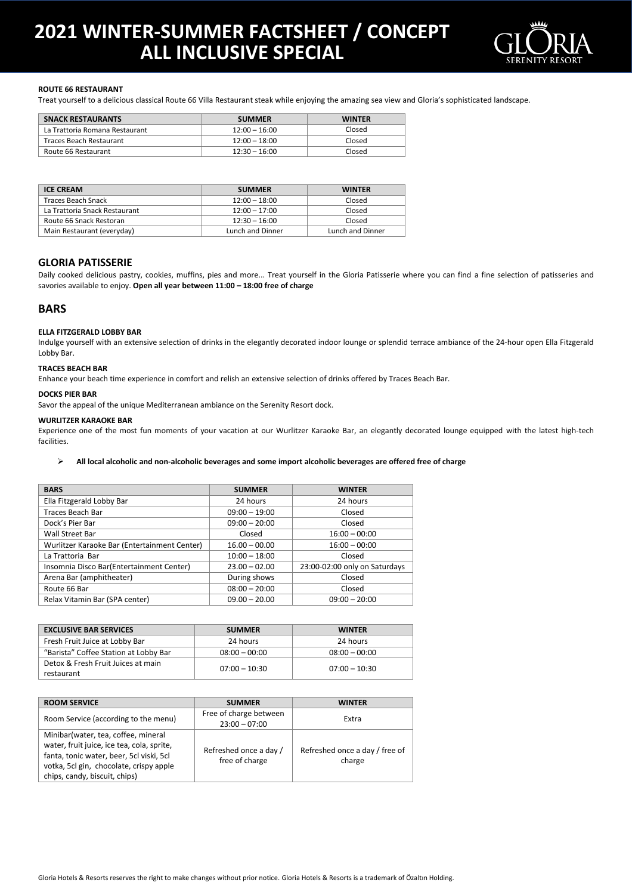

#### **ROUTE 66 RESTAURANT**

Treat yourself to a delicious classical Route 66 Villa Restaurant steak while enjoying the amazing sea view and Gloria's sophisticated landscape.

| <b>SNACK RESTAURANTS</b>       | <b>SUMMER</b>   | <b>WINTER</b> |
|--------------------------------|-----------------|---------------|
| La Trattoria Romana Restaurant | $12:00 - 16:00$ | Closed        |
| Traces Beach Restaurant        | $12:00 - 18:00$ | Closed        |
| Route 66 Restaurant            | $12:30 - 16:00$ | Closed        |

| <b>ICE CREAM</b>              | <b>SUMMER</b>    | <b>WINTFR</b>    |
|-------------------------------|------------------|------------------|
| <b>Traces Beach Snack</b>     | $12:00 - 18:00$  | Closed           |
| La Trattoria Snack Restaurant | $12:00 - 17:00$  | Closed           |
| Route 66 Snack Restoran       | $12:30 - 16:00$  | Closed           |
| Main Restaurant (everyday)    | Lunch and Dinner | Lunch and Dinner |

#### **GLORIA PATISSERIE**

Daily cooked delicious pastry, cookies, muffins, pies and more... Treat yourself in the Gloria Patisserie where you can find a fine selection of patisseries and savories available to enjoy. **Open all year between 11:00 – 18:00 free of charge**

#### **BARS**

#### **ELLA FITZGERALD LOBBY BAR**

Indulge yourself with an extensive selection of drinks in the elegantly decorated indoor lounge or splendid terrace ambiance of the 24-hour open Ella Fitzgerald Lobby Bar.

#### **TRACES BEACH BAR**

Enhance your beach time experience in comfort and relish an extensive selection of drinks offered by Traces Beach Bar.

#### **DOCKS PIER BAR**

Savor the appeal of the unique Mediterranean ambiance on the Serenity Resort dock.

#### **WURLITZER KARAOKE BAR**

Experience one of the most fun moments of your vacation at our Wurlitzer Karaoke Bar, an elegantly decorated lounge equipped with the latest high-tech facilities.

#### **All local alcoholic and non-alcoholic beverages and some import alcoholic beverages are offered free of charge**

| <b>BARS</b>                                  | <b>SUMMER</b>   | <b>WINTER</b>                 |
|----------------------------------------------|-----------------|-------------------------------|
| Ella Fitzgerald Lobby Bar                    | 24 hours        | 24 hours                      |
| <b>Traces Beach Bar</b>                      | $09:00 - 19:00$ | Closed                        |
| Dock's Pier Bar                              | $09:00 - 20:00$ | Closed                        |
| Wall Street Bar                              | Closed          | $16:00 - 00:00$               |
| Wurlitzer Karaoke Bar (Entertainment Center) | $16.00 - 00.00$ | $16:00 - 00:00$               |
| La Trattoria Bar                             | $10:00 - 18:00$ | Closed                        |
| Insomnia Disco Bar(Entertainment Center)     | $23.00 - 02.00$ | 23:00-02:00 only on Saturdays |
| Arena Bar (amphitheater)                     | During shows    | Closed                        |
| Route 66 Bar                                 | $08:00 - 20:00$ | Closed                        |
| Relax Vitamin Bar (SPA center)               | $09.00 - 20.00$ | $09:00 - 20:00$               |

| <b>EXCLUSIVE BAR SERVICES</b>                    | <b>SUMMER</b>   | <b>WINTER</b>   |
|--------------------------------------------------|-----------------|-----------------|
| Fresh Fruit Juice at Lobby Bar                   | 24 hours        | 24 hours        |
| "Barista" Coffee Station at Lobby Bar            | $08:00 - 00:00$ | $08:00 - 00:00$ |
| Detox & Fresh Fruit Juices at main<br>restaurant | $07:00 - 10:30$ | $07:00 - 10:30$ |

| <b>ROOM SERVICE</b>                                                                                                                                                                                        | <b>SUMMER</b>                             | <b>WINTER</b>                            |
|------------------------------------------------------------------------------------------------------------------------------------------------------------------------------------------------------------|-------------------------------------------|------------------------------------------|
| Room Service (according to the menu)                                                                                                                                                                       | Free of charge between<br>$23:00 - 07:00$ | Extra                                    |
| Minibar (water, tea, coffee, mineral<br>water, fruit juice, ice tea, cola, sprite,<br>fanta, tonic water, beer, 5cl viski, 5cl<br>votka, 5cl gin, chocolate, crispy apple<br>chips, candy, biscuit, chips) | Refreshed once a day /<br>free of charge  | Refreshed once a day / free of<br>charge |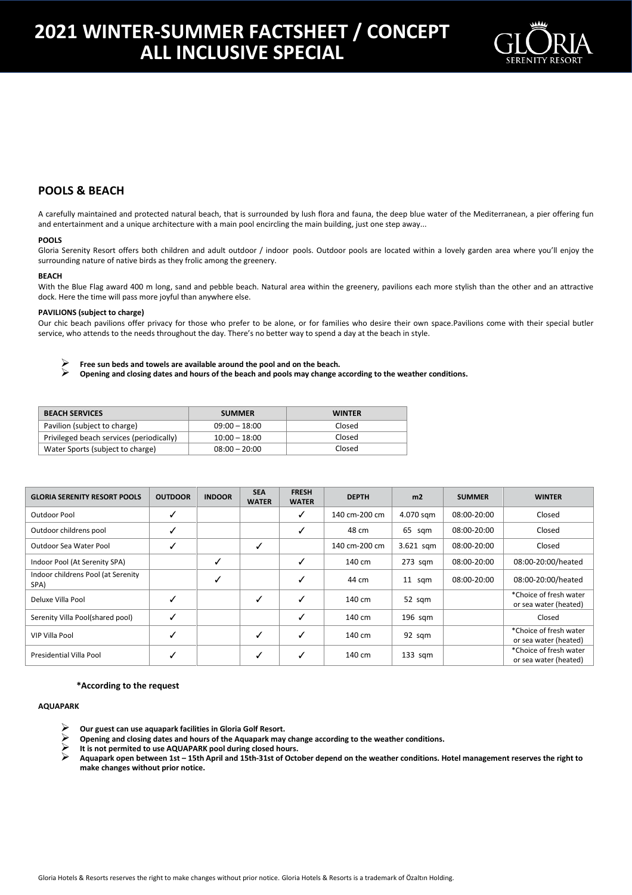

### **POOLS & BEACH**

A carefully maintained and protected natural beach, that is surrounded by lush flora and fauna, the deep blue water of the Mediterranean, a pier offering fun and entertainment and a unique architecture with a main pool encircling the main building, just one step away...

#### **POOLS**

Gloria Serenity Resort offers both children and adult outdoor / indoor pools. Outdoor pools are located within a lovely garden area where you'll enjoy the surrounding nature of native birds as they frolic among the greenery.

#### **BEACH**

With the Blue Flag award 400 m long, sand and pebble beach. Natural area within the greenery, pavilions each more stylish than the other and an attractive dock. Here the time will pass more joyful than anywhere else.

#### **PAVILIONS (subject to charge)**

Our chic beach pavilions offer privacy for those who prefer to be alone, or for families who desire their own space.Pavilions come with their special butler service, who attends to the needs throughout the day. There's no better way to spend a day at the beach in style.

Free sun beds and towels are available around the pool and on the beach.<br> **Consider and closing dates and hours of the beach and nools may change a** 

**Opening and closing dates and hours of the beach and pools may change according to the weather conditions.**

| <b>BEACH SERVICES</b>                    | <b>SUMMER</b>   | <b>WINTER</b> |
|------------------------------------------|-----------------|---------------|
| Pavilion (subject to charge)             | $09:00 - 18:00$ | Closed        |
| Privileged beach services (periodically) | $10:00 - 18:00$ | Closed        |
| Water Sports (subject to charge)         | $08:00 - 20:00$ | Closed        |

| <b>GLORIA SERENITY RESORT POOLS</b>        | <b>OUTDOOR</b> | <b>INDOOR</b> | <b>SEA</b><br><b>WATER</b> | <b>FRESH</b><br><b>WATER</b> | <b>DEPTH</b>  | m <sub>2</sub> | <b>SUMMER</b> | <b>WINTER</b>                                   |
|--------------------------------------------|----------------|---------------|----------------------------|------------------------------|---------------|----------------|---------------|-------------------------------------------------|
| Outdoor Pool                               |                |               |                            | ✓                            | 140 cm-200 cm | 4.070 sqm      | 08:00-20:00   | Closed                                          |
| Outdoor childrens pool                     |                |               |                            | ✓                            | 48 cm         | 65 sqm         | 08:00-20:00   | Closed                                          |
| Outdoor Sea Water Pool                     |                |               | √                          |                              | 140 cm-200 cm | 3.621 sqm      | 08:00-20:00   | Closed                                          |
| Indoor Pool (At Serenity SPA)              |                | ✓             |                            | ✓                            | 140 cm        | $273$ sqm      | 08:00-20:00   | 08:00-20:00/heated                              |
| Indoor childrens Pool (at Serenity<br>SPA) |                | ✓             |                            | ✓                            | 44 cm         | 11 sqm         | 08:00-20:00   | 08:00-20:00/heated                              |
| Deluxe Villa Pool                          |                |               | ✓                          | ✓                            | 140 cm        | 52 sqm         |               | *Choice of fresh water<br>or sea water (heated) |
| Serenity Villa Pool(shared pool)           |                |               |                            | ✓                            | 140 cm        | $196$ sqm      |               | Closed                                          |
| <b>VIP Villa Pool</b>                      |                |               | ✓                          | ✓                            | 140 cm        | 92 sqm         |               | *Choice of fresh water<br>or sea water (heated) |
| Presidential Villa Pool                    |                |               | ✓                          | ✓                            | 140 cm        | $133$ sqm      |               | *Choice of fresh water<br>or sea water (heated) |

#### **\*According to the request**

#### **AQUAPARK**

- **EXECUTE:** Our guest can use aquapark facilities in Gloria Golf Resort.<br> **Opening and closing dates and hours of the Aquapark may<br>
it is not permited to use AQUAPARK pool during closed hour**
- **Opening and closing dates and hours of the Aquapark may change according to the weather conditions.**
- **It is not permited to use AQUAPARK pool during closed hours.**
- **Aquapark open between 1st – 15th April and 15th-31st of October depend on the weather conditions. Hotel management reserves the right to make changes without prior notice.**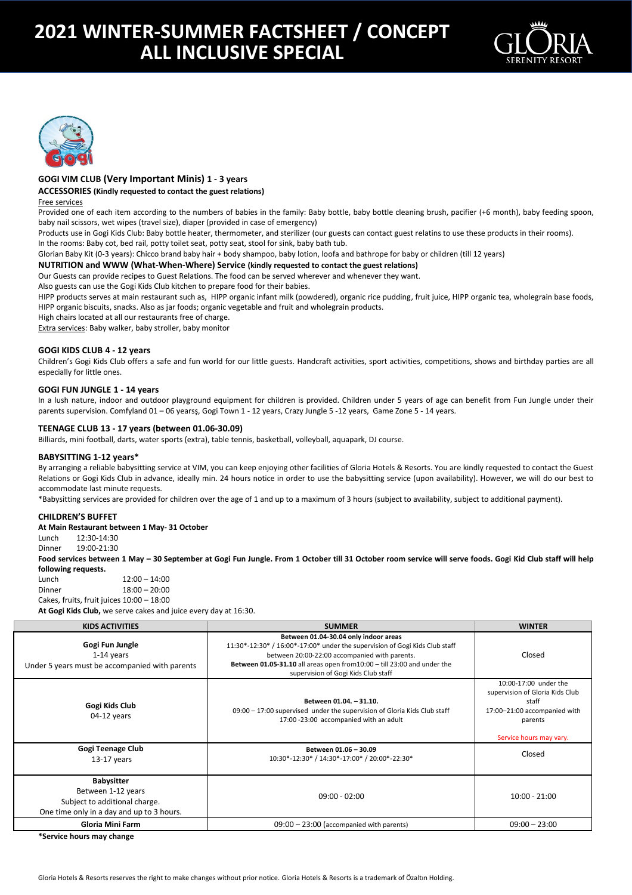



#### **GOGI VIM CLUB (Very Important Minis) 1 - 3 years**

**ACCESSORIES (Kindly requested to contact the guest relations)**

#### Free services

Provided one of each item according to the numbers of babies in the family: Baby bottle, baby bottle cleaning brush, pacifier (+6 month), baby feeding spoon, baby nail scissors, wet wipes (travel size), diaper (provided in case of emergency)

Products use in Gogi Kids Club: Baby bottle heater, thermometer, and sterilizer (our guests can contact guest relatins to use these products in their rooms).

In the rooms: Baby cot, bed rail, potty toilet seat, potty seat, stool for sink, baby bath tub.

Glorian Baby Kit (0-3 years): Chicco brand baby hair + body shampoo, baby lotion, loofa and bathrope for baby or children (till 12 years)

#### **NUTRITION and WWW (What-When-Where) Service (kindly requested to contact the guest relations)**

Our Guests can provide recipes to Guest Relations. The food can be served wherever and whenever they want.

Also guests can use the Gogi Kids Club kitchen to prepare food for their babies.

HIPP products serves at main restaurant such as, HIPP organic infant milk (powdered), organic rice pudding, fruit juice, HIPP organic tea, wholegrain base foods, HIPP organic biscuits, snacks. Also as jar foods; organic vegetable and fruit and wholegrain products.

High chairs located at all our restaurants free of charge.

Extra services: Baby walker, baby stroller, baby monitor

#### **GOGI KIDS CLUB 4 - 12 years**

Children's Gogi Kids Club offers a safe and fun world for our little guests. Handcraft activities, sport activities, competitions, shows and birthday parties are all especially for little ones.

#### **GOGI FUN JUNGLE 1 - 14 years**

In a lush nature, indoor and outdoor playground equipment for children is provided. Children under 5 years of age can benefit from Fun Jungle under their parents supervision. Comfyland 01 – 06 yearsş, Gogi Town 1 - 12 years, Crazy Jungle 5 -12 years, Game Zone 5 - 14 years.

#### **TEENAGE CLUB 13 - 17 years (between 01.06-30.09)**

Billiards, mini football, darts, water sports (extra), table tennis, basketball, volleyball, aquapark, DJ course.

#### **BABYSITTING 1-12 years\***

By arranging a reliable babysitting service at VIM, you can keep enjoying other facilities of Gloria Hotels & Resorts. You are kindly requested to contact the Guest Relations or Gogi Kids Club in advance, ideally min. 24 hours notice in order to use the babysitting service (upon availability). However, we will do our best to accommodate last minute requests.

\*Babysitting services are provided for children over the age of 1 and up to a maximum of 3 hours (subject to availability, subject to additional payment).

#### **CHILDREN'S BUFFET**

**At Main Restaurant between 1 May- 31 October**

Lunch 12:30-14:30 Dinner 19:00-21:30

**Food services between 1 May – 30 September at Gogi Fun Jungle. From 1 October till 31 October room service will serve foods. Gogi Kid Club staff will help following requests.** 

Lunch 12:00 – 14:00 Dinner 18:00 – 20:00 Cakes, fruits, fruit juices 10:00 - 18:00

**At Gogi Kids Club,** we serve cakes and juice every day at 16:30.

| <b>KIDS ACTIVITIES</b>                                                                                                | <b>SUMMER</b>                                                                                                                                                                                                                                                                           | <b>WINTER</b>                                                                                                                           |
|-----------------------------------------------------------------------------------------------------------------------|-----------------------------------------------------------------------------------------------------------------------------------------------------------------------------------------------------------------------------------------------------------------------------------------|-----------------------------------------------------------------------------------------------------------------------------------------|
| Gogi Fun Jungle<br>$1-14$ years<br>Under 5 years must be accompanied with parents                                     | Between 01.04-30.04 only indoor areas<br>11:30*-12:30* / 16:00*-17:00* under the supervision of Gogi Kids Club staff<br>between 20:00-22:00 accompanied with parents.<br>Between 01.05-31.10 all areas open from10:00 - till 23:00 and under the<br>supervision of Gogi Kids Club staff | Closed                                                                                                                                  |
| Gogi Kids Club<br>$04-12$ years                                                                                       | Between 01.04. - 31.10.<br>09:00 - 17:00 supervised under the supervision of Gloria Kids Club staff<br>17:00 -23:00 accompanied with an adult                                                                                                                                           | 10:00-17:00 under the<br>supervision of Gloria Kids Club<br>staff<br>17:00-21:00 accompanied with<br>parents<br>Service hours may vary. |
| Gogi Teenage Club<br>$13-17$ years                                                                                    | Between 01.06 - 30.09<br>10:30*-12:30* / 14:30*-17:00* / 20:00*-22:30*                                                                                                                                                                                                                  | Closed                                                                                                                                  |
| <b>Babysitter</b><br>Between 1-12 years<br>Subject to additional charge.<br>One time only in a day and up to 3 hours. | $09:00 - 02:00$                                                                                                                                                                                                                                                                         | $10:00 - 21:00$                                                                                                                         |
| Gloria Mini Farm                                                                                                      | $09:00 - 23:00$ (accompanied with parents)                                                                                                                                                                                                                                              | $09:00 - 23:00$                                                                                                                         |
| $*c$ amiaa laarus waxu alaanaa                                                                                        |                                                                                                                                                                                                                                                                                         |                                                                                                                                         |

**ervice hours may change**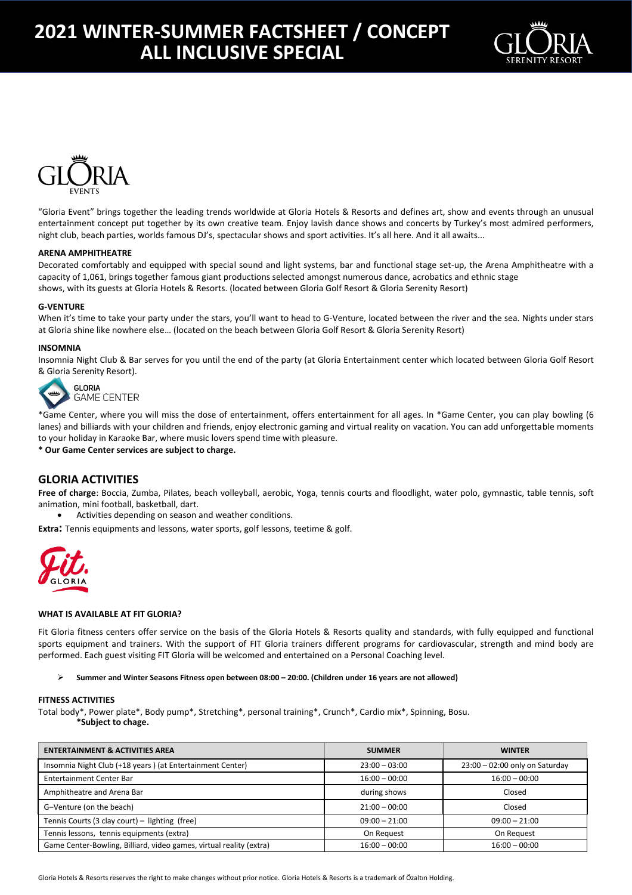



"Gloria Event" brings together the leading trends worldwide at Gloria Hotels & Resorts and defines art, show and events through an unusual entertainment concept put together by its own creative team. Enjoy lavish dance shows and concerts by Turkey's most admired performers, night club, beach parties, worlds famous DJ's, spectacular shows and sport activities. It's all here. And it all awaits...

#### **ARENA AMPHITHEATRE**

Decorated comfortably and equipped with special sound and light systems, bar and functional stage set-up, the Arena Amphitheatre with a capacity of 1,061, brings together famous giant productions selected amongst numerous dance, acrobatics and ethnic stage shows, with its guests at Gloria Hotels & Resorts. (located between Gloria Golf Resort & Gloria Serenity Resort)

#### **G-VENTURE**

When it's time to take your party under the stars, you'll want to head to G-Venture, located between the river and the sea. Nights under stars at Gloria shine like nowhere else… (located on the beach between Gloria Golf Resort & Gloria Serenity Resort)

#### **INSOMNIA**

Insomnia Night Club & Bar serves for you until the end of the party (at Gloria Entertainment center which located between Gloria Golf Resort & Gloria Serenity Resort).



**GAME CENTER** 

\*Game Center, where you will miss the dose of entertainment, offers entertainment for all ages. In \*Game Center, you can play bowling (6 lanes) and billiards with your children and friends, enjoy electronic gaming and virtual reality on vacation. You can add unforgettable moments to your holiday in Karaoke Bar, where music lovers spend time with pleasure.

**\* Our Game Center services are subject to charge.**

#### **GLORIA ACTIVITIES**

**Free of charge**: Boccia, Zumba, Pilates, beach volleyball, aerobic, Yoga, tennis courts and floodlight, water polo, gymnastic, table tennis, soft animation, mini football, basketball, dart.

Activities depending on season and weather conditions.

**Extra:** Tennis equipments and lessons, water sports, golf lessons, teetime & golf.



#### **WHAT IS AVAILABLE AT FIT GLORIA?**

Fit Gloria fitness centers offer service on the basis of the Gloria Hotels & Resorts quality and standards, with fully equipped and functional sports equipment and trainers. With the support of FIT Gloria trainers different programs for cardiovascular, strength and mind body are performed. Each guest visiting FIT Gloria will be welcomed and entertained on a Personal Coaching level.

#### **Summer and Winter Seasons Fitness open between 08:00 – 20:00. (Children under 16 years are not allowed)**

#### **FITNESS ACTIVITIES**

Total body\*, Power plate\*, Body pump\*, Stretching\*, personal training\*, Crunch\*, Cardio mix\*, Spinning, Bosu. **\*Subject to chage.**

| <b>ENTERTAINMENT &amp; ACTIVITIES AREA</b>                          | <b>SUMMER</b>   | <b>WINTER</b>                    |
|---------------------------------------------------------------------|-----------------|----------------------------------|
| Insomnia Night Club (+18 years) (at Entertainment Center)           | $23:00 - 03:00$ | $23:00 - 02:00$ only on Saturday |
| Entertainment Center Bar                                            | $16:00 - 00:00$ | $16:00 - 00:00$                  |
| Amphitheatre and Arena Bar                                          | during shows    | Closed                           |
| G-Venture (on the beach)                                            | $21:00 - 00:00$ | Closed                           |
| Tennis Courts (3 clay court) - lighting (free)                      | $09:00 - 21:00$ | $09:00 - 21:00$                  |
| Tennis lessons, tennis equipments (extra)                           | On Request      | On Request                       |
| Game Center-Bowling, Billiard, video games, virtual reality (extra) | $16:00 - 00:00$ | $16:00 - 00:00$                  |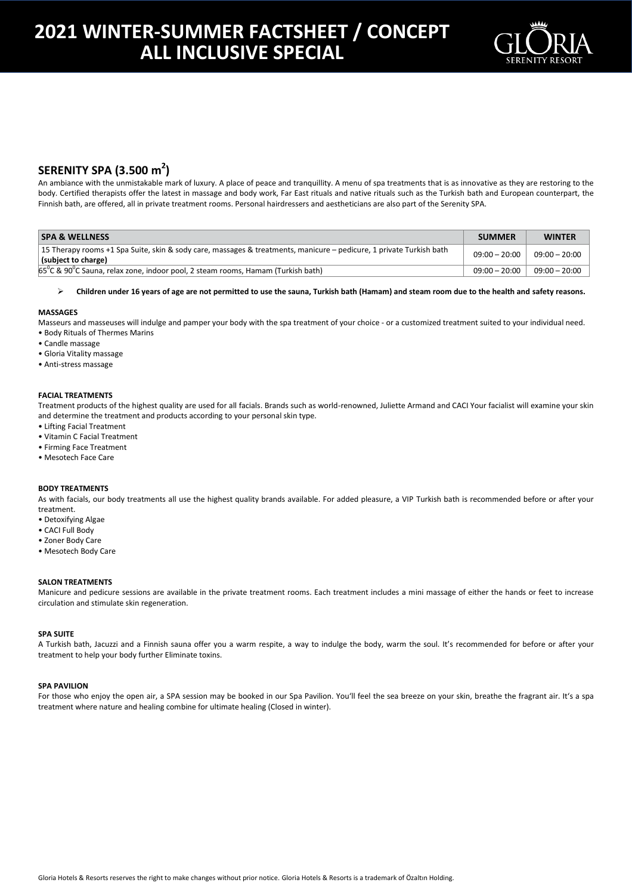

### **SERENITY SPA (3.500 m<sup>2</sup> )**

An ambiance with the unmistakable mark of luxury. A place of peace and tranquillity. A menu of spa treatments that is as innovative as they are restoring to the body. Certified therapists offer the latest in massage and body work, Far East rituals and native rituals such as the Turkish bath and European counterpart, the Finnish bath, are offered, all in private treatment rooms. Personal hairdressers and aestheticians are also part of the Serenity SPA.

| <b>SPA &amp; WELLNESS</b>                                                                                                                  | <b>SUMMER</b>   | <b>WINTER</b>                     |
|--------------------------------------------------------------------------------------------------------------------------------------------|-----------------|-----------------------------------|
| 15 Therapy rooms +1 Spa Suite, skin & sody care, massages & treatments, manicure – pedicure, 1 private Turkish bath<br>(subject to charge) |                 | $09:00 - 20:00$   $09:00 - 20:00$ |
| $65^{\circ}$ C & 90 $^{\circ}$ C Sauna, relax zone, indoor pool, 2 steam rooms, Hamam (Turkish bath)                                       | $09:00 - 20:00$ | $09:00 - 20:00$                   |

**Children under 16 years of age are not permitted to use the sauna, Turkish bath (Hamam) and steam room due to the health and safety reasons.**

#### **MASSAGES**

Masseurs and masseuses will indulge and pamper your body with the spa treatment of your choice - or a customized treatment suited to your individual need. • Body Rituals of Thermes Marins

- Candle massage
- 
- Gloria Vitality massage • Anti-stress massage
- 

#### **FACIAL TREATMENTS**

Treatment products of the highest quality are used for all facials. Brands such as world-renowned, Juliette Armand and CACI Your facialist will examine your skin and determine the treatment and products according to your personal skin type.

- Lifting Facial Treatment
- Vitamin C Facial Treatment
- Firming Face Treatment
- Mesotech Face Care

#### **BODY TREATMENTS**

As with facials, our body treatments all use the highest quality brands available. For added pleasure, a VIP Turkish bath is recommended before or after your treatment.

- Detoxifying Algae
- CACI Full Body
- Zoner Body Care
- Mesotech Body Care

#### **SALON TREATMENTS**

Manicure and pedicure sessions are available in the private treatment rooms. Each treatment includes a mini massage of either the hands or feet to increase circulation and stimulate skin regeneration.

#### **SPA SUITE**

A Turkish bath, Jacuzzi and a Finnish sauna offer you a warm respite, a way to indulge the body, warm the soul. It's recommended for before or after your treatment to help your body further Eliminate toxins.

#### **SPA PAVILION**

For those who enjoy the open air, a SPA session may be booked in our Spa Pavilion. You'll feel the sea breeze on your skin, breathe the fragrant air. It's a spa treatment where nature and healing combine for ultimate healing (Closed in winter).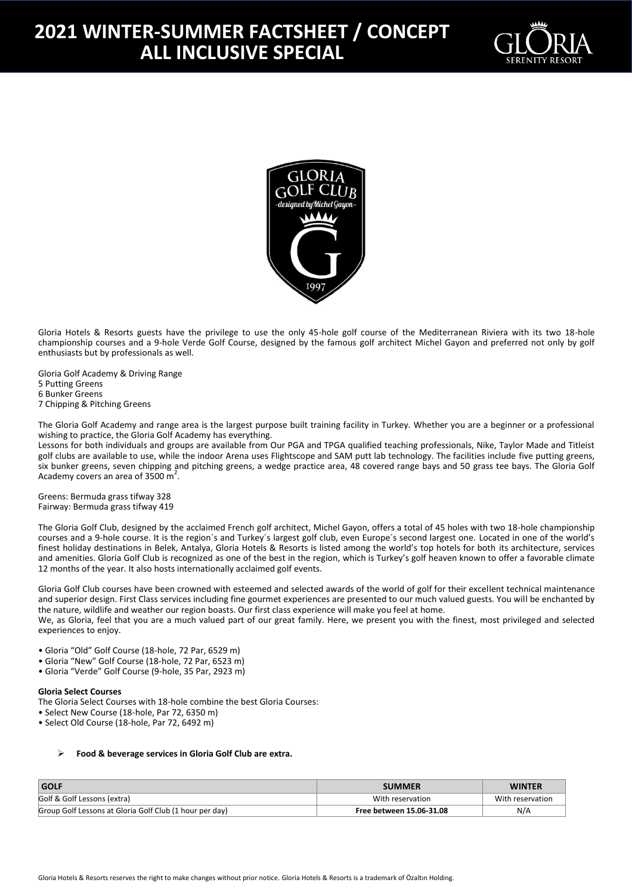



Gloria Hotels & Resorts guests have the privilege to use the only 45-hole golf course of the Mediterranean Riviera with its two 18-hole championship courses and a 9-hole Verde Golf Course, designed by the famous golf architect Michel Gayon and preferred not only by golf enthusiasts but by professionals as well.

Gloria Golf Academy & Driving Range 5 Putting Greens 6 Bunker Greens 7 Chipping & Pitching Greens

The Gloria Golf Academy and range area is the largest purpose built training facility in Turkey. Whether you are a beginner or a professional wishing to practice, the Gloria Golf Academy has everything.

Lessons for both individuals and groups are available from Our PGA and TPGA qualified teaching professionals, Nike, Taylor Made and Titleist golf clubs are available to use, while the indoor Arena uses Flightscope and SAM putt lab technology. The facilities include five putting greens, six bunker greens, seven chipping and pitching greens, a wedge practice area, 48 covered range bays and 50 grass tee bays. The Gloria Golf Academy covers an area of  $3500 \text{ m}^2$ .

Greens: Bermuda grass tifway 328 Fairway: Bermuda grass tifway 419

The Gloria Golf Club, designed by the acclaimed French golf architect, Michel Gayon, offers a total of 45 holes with two 18-hole championship courses and a 9-hole course. It is the region´s and Turkey´s largest golf club, even Europe´s second largest one. Located in one of the world's finest holiday destinations in Belek, Antalya, Gloria Hotels & Resorts is listed among the world's top hotels for both its architecture, services and amenities. Gloria Golf Club is recognized as one of the best in the region, which is Turkey's golf heaven known to offer a favorable climate 12 months of the year. It also hosts internationally acclaimed golf events.

Gloria Golf Club courses have been crowned with esteemed and selected awards of the world of golf for their excellent technical maintenance and superior design. First Class services including fine gourmet experiences are presented to our much valued guests. You will be enchanted by the nature, wildlife and weather our region boasts. Our first class experience will make you feel at home. We, as Gloria, feel that you are a much valued part of our great family. Here, we present you with the finest, most privileged and selected

experiences to enjoy.

- Gloria "Old" Golf Course (18-hole, 72 Par, 6529 m)
- Gloria "New" Golf Course (18-hole, 72 Par, 6523 m)
- Gloria "Verde" Golf Course (9-hole, 35 Par, 2923 m)

#### **Gloria Select Courses**

- The Gloria Select Courses with 18-hole combine the best Gloria Courses:
- Select New Course (18-hole, Par 72, 6350 m)
- Select Old Course (18-hole, Par 72, 6492 m)

#### **Food & beverage services in Gloria Golf Club are extra.**

| <b>GOLF</b>                                             | <b>SUMMER</b>            | <b>WINTER</b>    |
|---------------------------------------------------------|--------------------------|------------------|
| Golf & Golf Lessons (extra)                             | With reservation         | With reservation |
| Group Golf Lessons at Gloria Golf Club (1 hour per day) | Free between 15.06-31.08 | N/A              |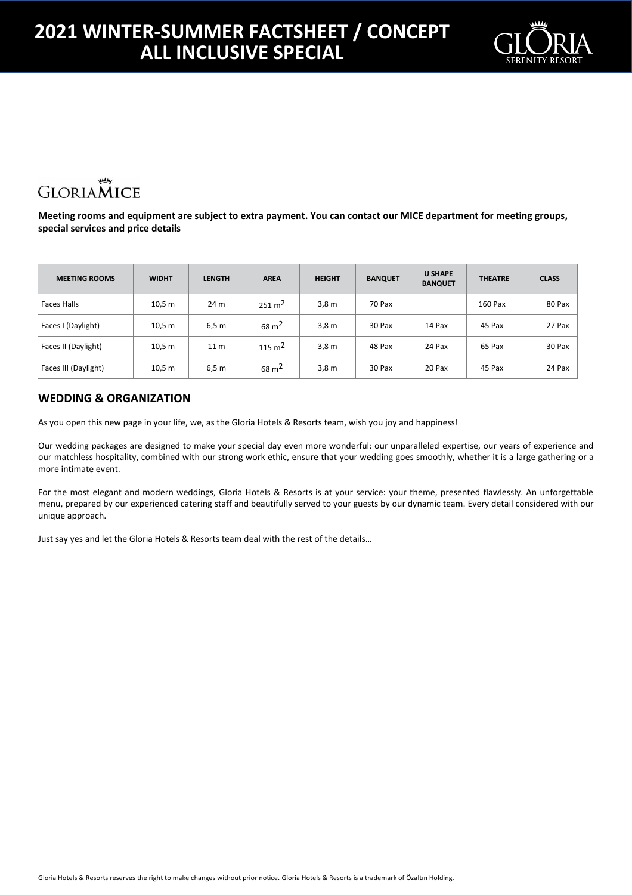

# **GLORIAMICE**

**Meeting rooms and equipment are subject to extra payment. You can contact our MICE department for meeting groups, special services and price details**

| <b>MEETING ROOMS</b> | <b>WIDHT</b> | <b>LENGTH</b>   | <b>AREA</b>        | <b>HEIGHT</b>    | <b>BANQUET</b> | <b>U SHAPE</b><br><b>BANQUET</b> | <b>THEATRE</b> | <b>CLASS</b> |
|----------------------|--------------|-----------------|--------------------|------------------|----------------|----------------------------------|----------------|--------------|
| Faces Halls          | 10,5 m       | 24 m            | $251 \text{ m}^2$  | 3,8 <sub>m</sub> | 70 Pax         | -                                | 160 Pax        | 80 Pax       |
| Faces I (Daylight)   | 10,5 m       | 6,5 m           | $68 \text{ m}^2$   | 3,8 <sub>m</sub> | 30 Pax         | 14 Pax                           | 45 Pax         | 27 Pax       |
| Faces II (Daylight)  | 10,5 m       | 11 <sub>m</sub> | 115 m <sup>2</sup> | 3,8 <sub>m</sub> | 48 Pax         | 24 Pax                           | 65 Pax         | 30 Pax       |
| Faces III (Daylight) | 10,5 m       | 6,5 m           | $68 \text{ m}^2$   | 3,8 <sub>m</sub> | 30 Pax         | 20 Pax                           | 45 Pax         | 24 Pax       |

### **WEDDING & ORGANIZATION**

As you open this new page in your life, we, as the Gloria Hotels & Resorts team, wish you joy and happiness!

Our wedding packages are designed to make your special day even more wonderful: our unparalleled expertise, our years of experience and our matchless hospitality, combined with our strong work ethic, ensure that your wedding goes smoothly, whether it is a large gathering or a more intimate event.

For the most elegant and modern weddings, Gloria Hotels & Resorts is at your service: your theme, presented flawlessly. An unforgettable menu, prepared by our experienced catering staff and beautifully served to your guests by our dynamic team. Every detail considered with our unique approach.

Just say yes and let the Gloria Hotels & Resorts team deal with the rest of the details…